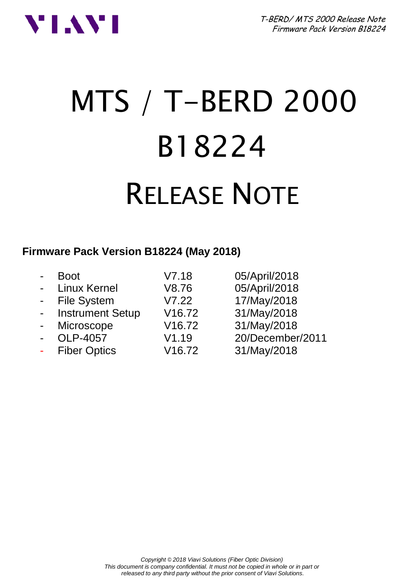

# MTS / T-BERD 2000 B18224 RELEASE NOTE

#### **Firmware Pack Version B18224 (May 2018)**

|                | Boot                    | V7.18              | 05/April/2018    |
|----------------|-------------------------|--------------------|------------------|
|                | - Linux Kernel          | V8.76              | 05/April/2018    |
|                | - File System           | V7.22              | 17/May/2018      |
| $\sim$         | <b>Instrument Setup</b> | V <sub>16.72</sub> | 31/May/2018      |
| $\blacksquare$ | Microscope              | V16.72             | 31/May/2018      |
| $\blacksquare$ | OLP-4057                | V1.19              | 20/December/2011 |
| $\blacksquare$ | <b>Fiber Optics</b>     | V16.72             | 31/May/2018      |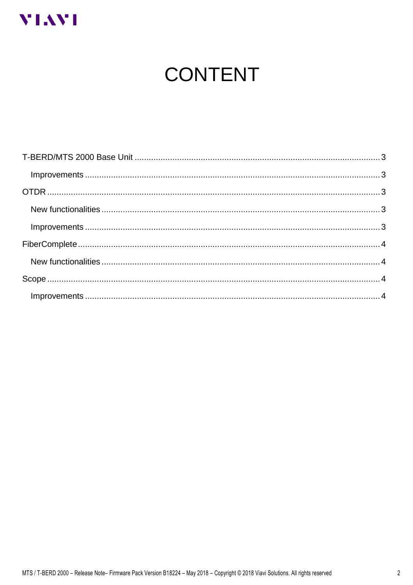

# **CONTENT**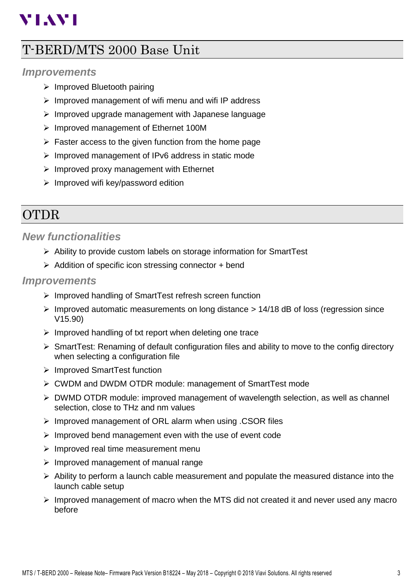# **VIAVI**

## <span id="page-2-0"></span>T-BERD/MTS 2000 Base Unit

#### <span id="page-2-1"></span>*Improvements*

- ➢ Improved Bluetooth pairing
- ➢ Improved management of wifi menu and wifi IP address
- ➢ Improved upgrade management with Japanese language
- ➢ Improved management of Ethernet 100M
- ➢ Faster access to the given function from the home page
- ➢ Improved management of IPv6 address in static mode
- $\triangleright$  Improved proxy management with Ethernet
- $\triangleright$  Improved wifi key/password edition

## <span id="page-2-2"></span>OTDR

#### <span id="page-2-3"></span>*New functionalities*

- ➢ Ability to provide custom labels on storage information for SmartTest
- ➢ Addition of specific icon stressing connector + bend

#### <span id="page-2-4"></span>*Improvements*

- ➢ Improved handling of SmartTest refresh screen function
- $\triangleright$  Improved automatic measurements on long distance  $> 14/18$  dB of loss (regression since V15.90)
- $\triangleright$  Improved handling of txt report when deleting one trace
- ➢ SmartTest: Renaming of default configuration files and ability to move to the config directory when selecting a configuration file
- ➢ Improved SmartTest function
- ➢ CWDM and DWDM OTDR module: management of SmartTest mode
- $\triangleright$  DWMD OTDR module: improved management of wavelength selection, as well as channel selection, close to THz and nm values
- ➢ Improved management of ORL alarm when using .CSOR files
- ➢ Improved bend management even with the use of event code
- ➢ Improved real time measurement menu
- ➢ Improved management of manual range
- $\triangleright$  Ability to perform a launch cable measurement and populate the measured distance into the launch cable setup
- $\triangleright$  Improved management of macro when the MTS did not created it and never used any macro before